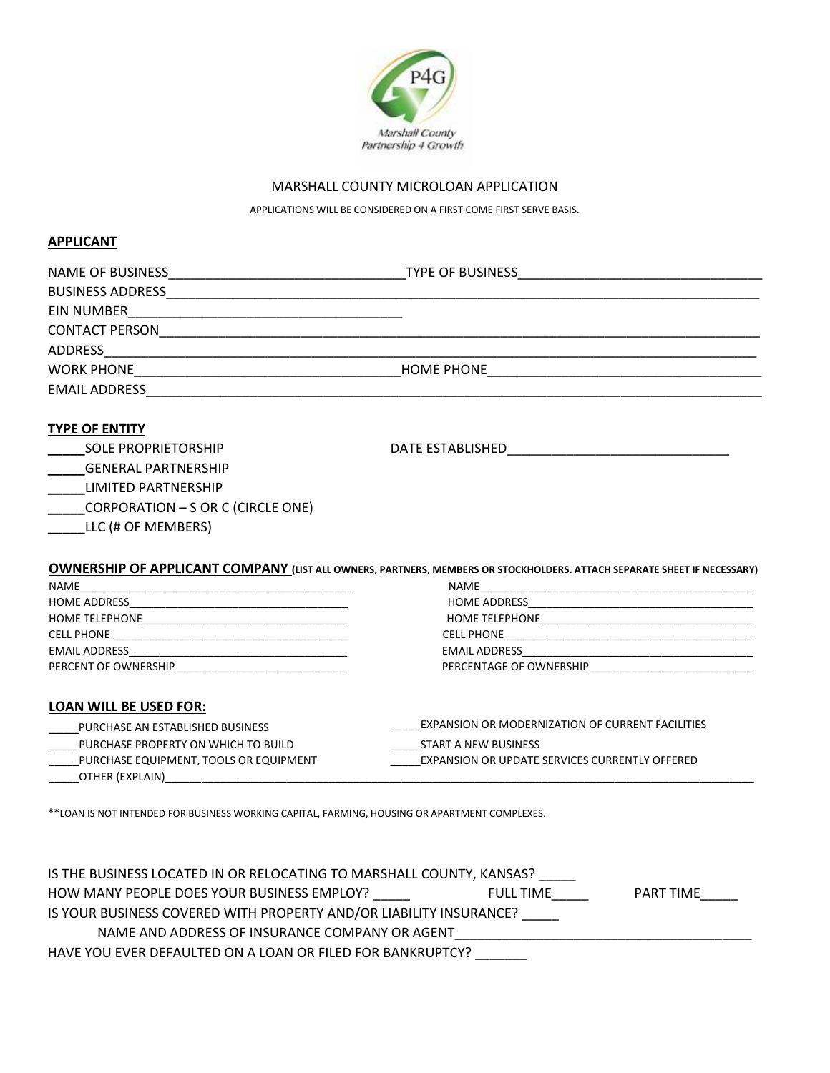

## MARSHALL COUNTY MICROLOAN APPLICATION

APPLICATIONS WILL BE CONSIDERED ON A FIRST COME FIRST SERVE BASIS.

### **APPLICANT**

| <b>TYPE OF ENTITY</b>                  |                                                                                                                                |
|----------------------------------------|--------------------------------------------------------------------------------------------------------------------------------|
| <b>SOLE PROPRIETORSHIP</b>             | DATE ESTABLISHED <b>SEEMS</b> STATE STABLISHED                                                                                 |
| _____GENERAL PARTNERSHIP               |                                                                                                                                |
| _____LIMITED PARTNERSHIP               |                                                                                                                                |
| _____CORPORATION - S OR C (CIRCLE ONE) |                                                                                                                                |
| LLC (# OF MEMBERS)                     |                                                                                                                                |
|                                        |                                                                                                                                |
|                                        | <b>OWNERSHIP OF APPLICANT COMPANY</b> (LIST ALL OWNERS, PARTNERS, MEMBERS OR STOCKHOLDERS. ATTACH SEPARATE SHEET IF NECESSARY) |
|                                        |                                                                                                                                |
|                                        |                                                                                                                                |
|                                        |                                                                                                                                |
|                                        |                                                                                                                                |
|                                        |                                                                                                                                |
|                                        | PERCENTAGE OF OWNERSHIP <b>EXAMPLE AND THE SET OF STATE</b>                                                                    |
| LOAN WILL BE USED FOR:                 |                                                                                                                                |
| PURCHASE AN ESTABLISHED BUSINESS       | EXPANSION OR MODERNIZATION OF CURRENT FACILITIES                                                                               |
| PURCHASE PROPERTY ON WHICH TO BUILD    | START A NEW BUSINESS                                                                                                           |
| PURCHASE EQUIPMENT, TOOLS OR EQUIPMENT | EXPANSION OR UPDATE SERVICES CURRENTLY OFFERED                                                                                 |

 $\angle$ OTHER (EXPLAIN) $\angle$ 

\*\*LOAN IS NOT INTENDED FOR BUSINESS WORKING CAPITAL, FARMING, HOUSING OR APARTMENT COMPLEXES.

| IS THE BUSINESS LOCATED IN OR RELOCATING TO MARSHALL COUNTY, KANSAS? |                  |           |
|----------------------------------------------------------------------|------------------|-----------|
| HOW MANY PEOPLE DOES YOUR BUSINESS EMPLOY?                           | <b>FULL TIME</b> | PART TIME |
| IS YOUR BUSINESS COVERED WITH PROPERTY AND/OR LIABILITY INSURANCE?   |                  |           |
| NAME AND ADDRESS OF INSURANCE COMPANY OR AGENT                       |                  |           |
| HAVE YOU EVER DEFAULTED ON A LOAN OR FILED FOR BANKRUPTCY?           |                  |           |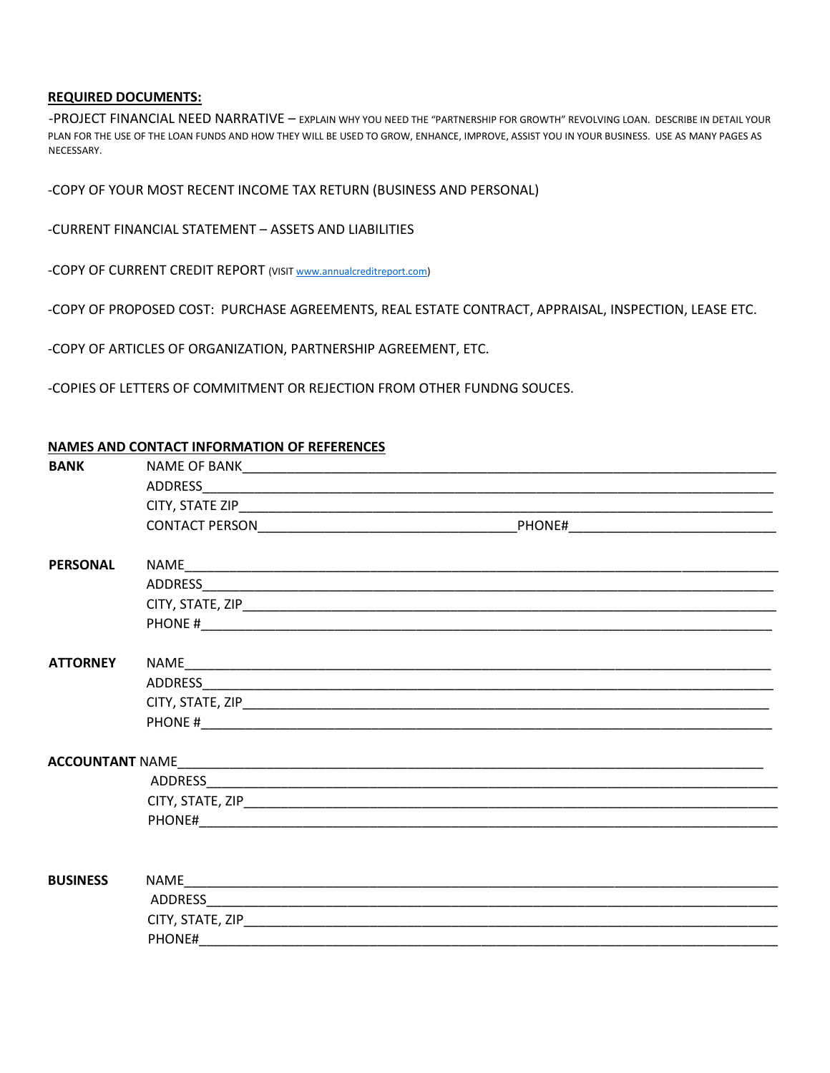## **REQUIRED DOCUMENTS:**

-PROJECT FINANCIAL NEED NARRATIVE – EXPLAIN WHY YOU NEED THE "PARTNERSHIP FOR GROWTH" REVOLVING LOAN. DESCRIBE IN DETAIL YOUR PLAN FOR THE USE OF THE LOAN FUNDS AND HOW THEY WILL BE USED TO GROW, ENHANCE, IMPROVE, ASSIST YOU IN YOUR BUSINESS. USE AS MANY PAGES AS NECESSARY.

-COPY OF YOUR MOST RECENT INCOME TAX RETURN (BUSINESS AND PERSONAL)

### -CURRENT FINANCIAL STATEMENT – ASSETS AND LIABILITIES

-COPY OF CURRENT CREDIT REPORT (VI[SIT www.annualcreditreport.com\)](http://www.annualcreditreport.com/)

|  |  |  | -COPY OF PROPOSED COST: PURCHASE AGREEMENTS, REAL ESTATE CONTRACT, APPRAISAL, INSPECTION, LEASE ETC. |
|--|--|--|------------------------------------------------------------------------------------------------------|
|--|--|--|------------------------------------------------------------------------------------------------------|

-COPY OF ARTICLES OF ORGANIZATION, PARTNERSHIP AGREEMENT, ETC.

-COPIES OF LETTERS OF COMMITMENT OR REJECTION FROM OTHER FUNDNG SOUCES.

|--|

| <b>BANK</b>            |        |  |  |  |  |
|------------------------|--------|--|--|--|--|
|                        |        |  |  |  |  |
|                        |        |  |  |  |  |
|                        |        |  |  |  |  |
| <b>PERSONAL</b>        |        |  |  |  |  |
|                        |        |  |  |  |  |
|                        |        |  |  |  |  |
|                        |        |  |  |  |  |
| <b>ATTORNEY</b>        |        |  |  |  |  |
|                        |        |  |  |  |  |
|                        |        |  |  |  |  |
|                        |        |  |  |  |  |
| <b>ACCOUNTANT NAME</b> |        |  |  |  |  |
|                        |        |  |  |  |  |
|                        |        |  |  |  |  |
|                        |        |  |  |  |  |
|                        |        |  |  |  |  |
| <b>BUSINESS</b>        |        |  |  |  |  |
|                        |        |  |  |  |  |
|                        |        |  |  |  |  |
|                        | PHONE# |  |  |  |  |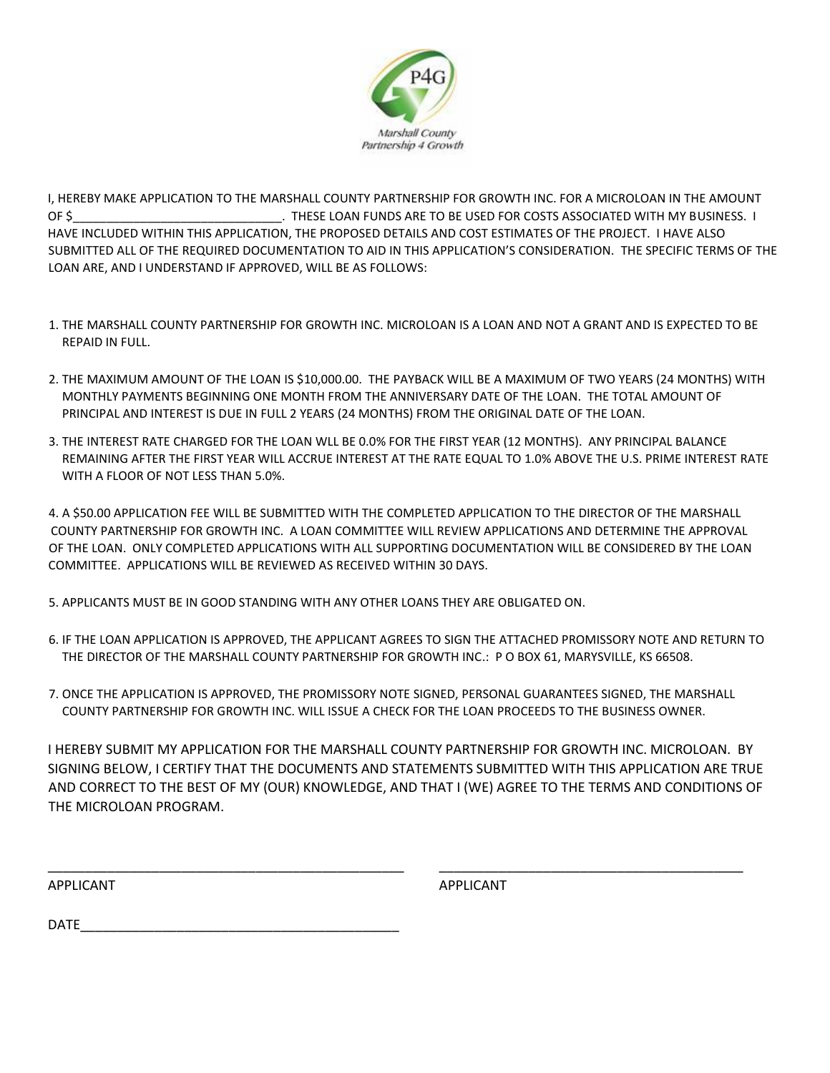

I, HEREBY MAKE APPLICATION TO THE MARSHALL COUNTY PARTNERSHIP FOR GROWTH INC. FOR A MICROLOAN IN THE AMOUNT OF \$\_\_\_\_\_\_\_\_\_\_\_\_\_\_\_\_\_\_\_\_\_\_\_\_\_\_\_\_\_\_\_. THESE LOAN FUNDS ARE TO BE USED FOR COSTS ASSOCIATED WITH MY BUSINESS. I HAVE INCLUDED WITHIN THIS APPLICATION, THE PROPOSED DETAILS AND COST ESTIMATES OF THE PROJECT. I HAVE ALSO SUBMITTED ALL OF THE REQUIRED DOCUMENTATION TO AID IN THIS APPLICATION'S CONSIDERATION. THE SPECIFIC TERMS OF THE LOAN ARE, AND I UNDERSTAND IF APPROVED, WILL BE AS FOLLOWS:

- 1. THE MARSHALL COUNTY PARTNERSHIP FOR GROWTH INC. MICROLOAN IS A LOAN AND NOT A GRANT AND IS EXPECTED TO BE REPAID IN FULL.
- 2. THE MAXIMUM AMOUNT OF THE LOAN IS \$10,000.00. THE PAYBACK WILL BE A MAXIMUM OF TWO YEARS (24 MONTHS) WITH MONTHLY PAYMENTS BEGINNING ONE MONTH FROM THE ANNIVERSARY DATE OF THE LOAN. THE TOTAL AMOUNT OF PRINCIPAL AND INTEREST IS DUE IN FULL 2 YEARS (24 MONTHS) FROM THE ORIGINAL DATE OF THE LOAN.
- 3. THE INTEREST RATE CHARGED FOR THE LOAN WLL BE 0.0% FOR THE FIRST YEAR (12 MONTHS). ANY PRINCIPAL BALANCE REMAINING AFTER THE FIRST YEAR WILL ACCRUE INTEREST AT THE RATE EQUAL TO 1.0% ABOVE THE U.S. PRIME INTEREST RATE WITH A FLOOR OF NOT LESS THAN 5.0%.

4. A \$50.00 APPLICATION FEE WILL BE SUBMITTED WITH THE COMPLETED APPLICATION TO THE DIRECTOR OF THE MARSHALL COUNTY PARTNERSHIP FOR GROWTH INC. A LOAN COMMITTEE WILL REVIEW APPLICATIONS AND DETERMINE THE APPROVAL OF THE LOAN. ONLY COMPLETED APPLICATIONS WITH ALL SUPPORTING DOCUMENTATION WILL BE CONSIDERED BY THE LOAN COMMITTEE. APPLICATIONS WILL BE REVIEWED AS RECEIVED WITHIN 30 DAYS.

5. APPLICANTS MUST BE IN GOOD STANDING WITH ANY OTHER LOANS THEY ARE OBLIGATED ON.

- 6. IF THE LOAN APPLICATION IS APPROVED, THE APPLICANT AGREES TO SIGN THE ATTACHED PROMISSORY NOTE AND RETURN TO THE DIRECTOR OF THE MARSHALL COUNTY PARTNERSHIP FOR GROWTH INC.: P O BOX 61, MARYSVILLE, KS 66508.
- 7. ONCE THE APPLICATION IS APPROVED, THE PROMISSORY NOTE SIGNED, PERSONAL GUARANTEES SIGNED, THE MARSHALL COUNTY PARTNERSHIP FOR GROWTH INC. WILL ISSUE A CHECK FOR THE LOAN PROCEEDS TO THE BUSINESS OWNER.

I HEREBY SUBMIT MY APPLICATION FOR THE MARSHALL COUNTY PARTNERSHIP FOR GROWTH INC. MICROLOAN. BY SIGNING BELOW, I CERTIFY THAT THE DOCUMENTS AND STATEMENTS SUBMITTED WITH THIS APPLICATION ARE TRUE AND CORRECT TO THE BEST OF MY (OUR) KNOWLEDGE, AND THAT I (WE) AGREE TO THE TERMS AND CONDITIONS OF THE MICROLOAN PROGRAM.

\_\_\_\_\_\_\_\_\_\_\_\_\_\_\_\_\_\_\_\_\_\_\_\_\_\_\_\_\_\_\_\_\_\_\_\_\_\_\_\_\_\_\_\_\_\_\_\_ \_\_\_\_\_\_\_\_\_\_\_\_\_\_\_\_\_\_\_\_\_\_\_\_\_\_\_\_\_\_\_\_\_\_\_\_\_\_\_\_\_

APPLICANT APPLICANT

DATE\_\_\_\_\_\_\_\_\_\_\_\_\_\_\_\_\_\_\_\_\_\_\_\_\_\_\_\_\_\_\_\_\_\_\_\_\_\_\_\_\_\_\_